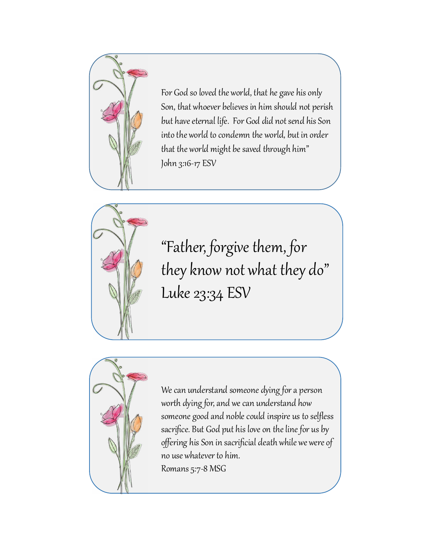

For God so loved the world, that he gave his only Son, that whoever believes in him should not perish but have eternal life. For God did not send his Son into the world to condemn the world, but in order that the world might be saved through him" John 3:16-17 ESV



"Father, forgive them, for they know not what they do" Luke 23:34 ESV



We can understand someone dying for a person worth dying for, and we can understand how someone good and noble could inspire us to selfless sacrifice. But God put his love on the line for us by offering his Son in sacrificial death while we were of no use whatever to him. Romans 5:7-8 MSG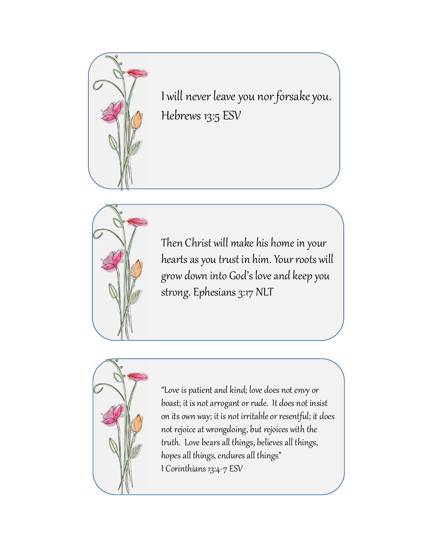

I will never leave you nor forsake you. Hebrews 13:5 ESV



Then Christ will make his home in your hearts as you trust in him. Your roots will grow down into God's love and keep you strong. Ephesians 3:17 NLT



"Love is patient and kind; love does not envy or boast; it is not arrogant or rude. It does not insist on its own way; it is not irritable or resentful; it does not rejoice at wrongdoing, but rejoices with the truth. Love bears all things, believes all things, hopes all things, endures all things" I Corinthians 13:4-7 ESV